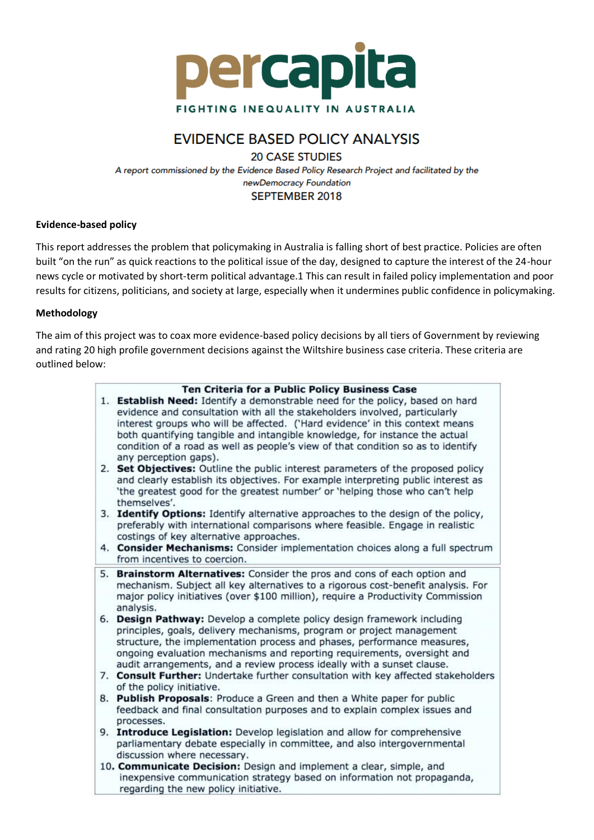

# **EVIDENCE BASED POLICY ANALYSIS**

**20 CASE STUDIES** 

A report commissioned by the Evidence Based Policy Research Project and facilitated by the newDemocracy Foundation **SEPTEMBER 2018** 

#### **Evidence-based policy**

This report addresses the problem that policymaking in Australia is falling short of best practice. Policies are often built "on the run" as quick reactions to the political issue of the day, designed to capture the interest of the 24-hour news cycle or motivated by short-term political advantage.1 This can result in failed policy implementation and poor results for citizens, politicians, and society at large, especially when it undermines public confidence in policymaking.

#### **Methodology**

The aim of this project was to coax more evidence-based policy decisions by all tiers of Government by reviewing and rating 20 high profile government decisions against the Wiltshire business case criteria. These criteria are outlined below:

| Ten Criteria for a Public Policy Business Case<br>1. Establish Need: Identify a demonstrable need for the policy, based on hard                                                                                                                       |
|-------------------------------------------------------------------------------------------------------------------------------------------------------------------------------------------------------------------------------------------------------|
| evidence and consultation with all the stakeholders involved, particularly<br>interest groups who will be affected. ('Hard evidence' in this context means                                                                                            |
| both quantifying tangible and intangible knowledge, for instance the actual<br>condition of a road as well as people's view of that condition so as to identify                                                                                       |
| any perception gaps).                                                                                                                                                                                                                                 |
| 2. Set Objectives: Outline the public interest parameters of the proposed policy<br>and clearly establish its objectives. For example interpreting public interest as<br>'the greatest good for the greatest number' or 'helping those who can't help |
| themselves'.                                                                                                                                                                                                                                          |
| 3. Identify Options: Identify alternative approaches to the design of the policy,                                                                                                                                                                     |
| preferably with international comparisons where feasible. Engage in realistic<br>costings of key alternative approaches.                                                                                                                              |
| 4. Consider Mechanisms: Consider implementation choices along a full spectrum<br>from incentives to coercion.                                                                                                                                         |
| Brainstorm Alternatives: Consider the pros and cons of each option and<br>5.                                                                                                                                                                          |
| mechanism. Subject all key alternatives to a rigorous cost-benefit analysis. For                                                                                                                                                                      |
| major policy initiatives (over \$100 million), require a Productivity Commission<br>analysis.                                                                                                                                                         |
| 6. Design Pathway: Develop a complete policy design framework including                                                                                                                                                                               |
| principles, goals, delivery mechanisms, program or project management                                                                                                                                                                                 |
| structure, the implementation process and phases, performance measures,                                                                                                                                                                               |
| ongoing evaluation mechanisms and reporting requirements, oversight and                                                                                                                                                                               |
| audit arrangements, and a review process ideally with a sunset clause.                                                                                                                                                                                |
| 7. Consult Further: Undertake further consultation with key affected stakeholders                                                                                                                                                                     |
| of the policy initiative.                                                                                                                                                                                                                             |
| 8. Publish Proposals: Produce a Green and then a White paper for public                                                                                                                                                                               |
| feedback and final consultation purposes and to explain complex issues and<br>processes.                                                                                                                                                              |
| 9. Introduce Legislation: Develop legislation and allow for comprehensive                                                                                                                                                                             |
| parliamentary debate especially in committee, and also intergovernmental                                                                                                                                                                              |
| discussion where necessary.                                                                                                                                                                                                                           |
| 10. Communicate Decision: Design and implement a clear, simple, and                                                                                                                                                                                   |
| inexpensive communication strategy based on information not propaganda,<br>regarding the new policy initiative.                                                                                                                                       |
|                                                                                                                                                                                                                                                       |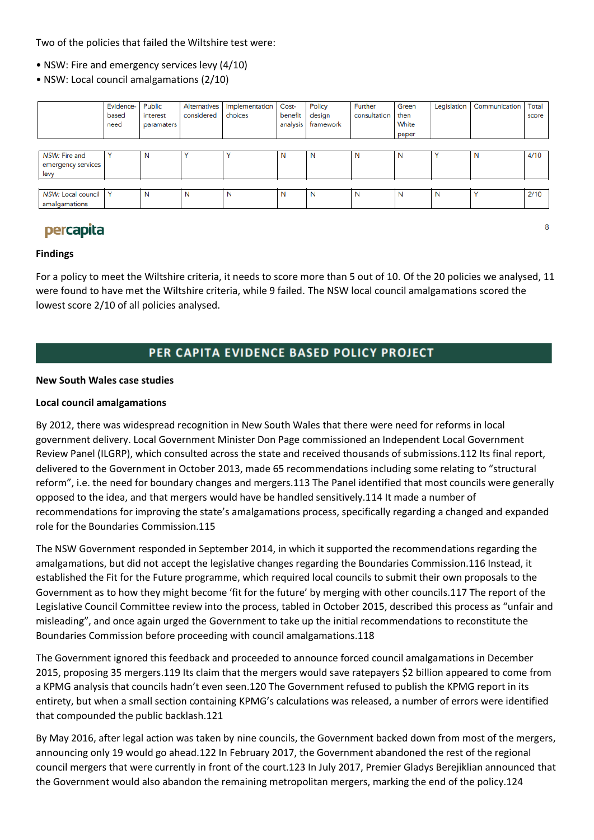Two of the policies that failed the Wiltshire test were:

- NSW: Fire and emergency services levy (4/10)
- NSW: Local council amalgamations (2/10)

|                           | Evidence-    | Public     | Alternatives | Implementation | Cost-    | Policy    | Further      | Green | Legislation | Communication | Total |
|---------------------------|--------------|------------|--------------|----------------|----------|-----------|--------------|-------|-------------|---------------|-------|
|                           | based        | interest   | considered   | choices        | benefit  | design    | consultation | then  |             |               | score |
|                           | need         | paramaters |              |                | analysis | framework |              | White |             |               |       |
|                           |              |            |              |                |          |           |              | paper |             |               |       |
|                           |              |            |              |                |          |           |              |       |             |               |       |
| NSW: Fire and             | v            | N          |              |                | N        | N         | N            | N     | Υ           | N             | 4/10  |
| emergency services        |              |            |              |                |          |           |              |       |             |               |       |
| levy                      |              |            |              |                |          |           |              |       |             |               |       |
|                           |              |            |              |                |          |           |              |       |             |               |       |
| <b>NSW: Local council</b> | $\checkmark$ | N          | N            | N              | N        | N         | N            | N     | N           |               | 2/10  |
| amalgamations             |              |            |              |                |          |           |              |       |             |               |       |

# percapita

#### **Findings**

For a policy to meet the Wiltshire criteria, it needs to score more than 5 out of 10. Of the 20 policies we analysed, 11 were found to have met the Wiltshire criteria, while 9 failed. The NSW local council amalgamations scored the lowest score 2/10 of all policies analysed.

## PER CAPITA EVIDENCE BASED POLICY PROJECT

#### **New South Wales case studies**

#### **Local council amalgamations**

By 2012, there was widespread recognition in New South Wales that there were need for reforms in local government delivery. Local Government Minister Don Page commissioned an Independent Local Government Review Panel (ILGRP), which consulted across the state and received thousands of submissions.112 Its final report, delivered to the Government in October 2013, made 65 recommendations including some relating to "structural reform", i.e. the need for boundary changes and mergers.113 The Panel identified that most councils were generally opposed to the idea, and that mergers would have be handled sensitively.114 It made a number of recommendations for improving the state's amalgamations process, specifically regarding a changed and expanded role for the Boundaries Commission.115

The NSW Government responded in September 2014, in which it supported the recommendations regarding the amalgamations, but did not accept the legislative changes regarding the Boundaries Commission.116 Instead, it established the Fit for the Future programme, which required local councils to submit their own proposals to the Government as to how they might become 'fit for the future' by merging with other councils.117 The report of the Legislative Council Committee review into the process, tabled in October 2015, described this process as "unfair and misleading", and once again urged the Government to take up the initial recommendations to reconstitute the Boundaries Commission before proceeding with council amalgamations.118

The Government ignored this feedback and proceeded to announce forced council amalgamations in December 2015, proposing 35 mergers.119 Its claim that the mergers would save ratepayers \$2 billion appeared to come from a KPMG analysis that councils hadn't even seen.120 The Government refused to publish the KPMG report in its entirety, but when a small section containing KPMG's calculations was released, a number of errors were identified that compounded the public backlash.121

By May 2016, after legal action was taken by nine councils, the Government backed down from most of the mergers, announcing only 19 would go ahead.122 In February 2017, the Government abandoned the rest of the regional council mergers that were currently in front of the court.123 In July 2017, Premier Gladys Berejiklian announced that the Government would also abandon the remaining metropolitan mergers, marking the end of the policy.124

8